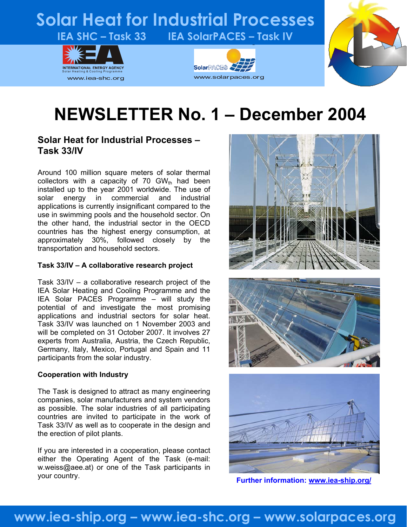# **Solar Heat for Industrial Processes** IEA SHC - Task 33 IEA SolarPACES - Task IV







# **NEWSLETTER No. 1 – December 2004**

#### **Solar Heat for Industrial Processes – Task 33/IV**

Around 100 million square meters of solar thermal collectors with a capacity of 70  $GW<sub>th</sub>$  had been installed up to the year 2001 worldwide. The use of solar energy in commercial and industrial applications is currently insignificant compared to the use in swimming pools and the household sector. On the other hand, the industrial sector in the OECD countries has the highest energy consumption, at approximately 30%, followed closely by the transportation and household sectors.

#### **Task 33/IV – A collaborative research project**

Task 33/IV – a collaborative research project of the IEA Solar Heating and Cooling Programme and the IEA Solar PACES Programme – will study the potential of and investigate the most promising applications and industrial sectors for solar heat. Task 33/IV was launched on 1 November 2003 and will be completed on 31 October 2007. It involves 27 experts from Australia, Austria, the Czech Republic, Germany, Italy, Mexico, Portugal and Spain and 11 participants from the solar industry.

#### **Cooperation with Industry**

The Task is designed to attract as many engineering companies, solar manufacturers and system vendors as possible. The solar industries of all participating countries are invited to participate in the work of Task 33/IV as well as to cooperate in the design and the erection of pilot plants.

If you are interested in a cooperation, please contact either the Operating Agent of the Task (e-mail: [w.weiss@aee.at\)](mailto:w.weiss@aee.at) or one of the Task participants in your country.







**Further information: [www.iea-ship.org/](http://www.iea-ship.org/)**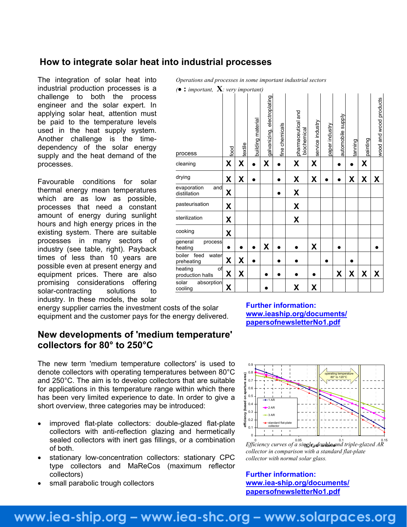#### **How to integrate solar heat into industrial processes**

The integration of solar heat into industrial production processes is a challenge to both the process engineer and the solar expert. In applying solar heat, attention must be paid to the temperature levels used in the heat supply system. Another challenge is the timedependency of the solar energy supply and the heat demand of the processes.

Favourable conditions for solar thermal energy mean temperatures which are as low as possible, processes that need a constant amount of energy during sunlight hours and high energy prices in the existing system. There are suitable processes in many sectors of industry (see table, right). Payback times of less than 10 years are possible even at present energy and equipment prices. There are also promising considerations offering solar-contracting solutions to industry. In these models, the solar

energy supplier carries the investment costs of the solar equipment and the customer pays for the energy delivered. **WWW.leaship.org/documents**<br>[papersofnewsletterNo1.pdf](http://www.iea-ship.org/documents/papersofnewsletterNo1.pdf)

#### **New developments of 'medium temperature' collectors for 80° to 250°C**

The new term 'medium temperature collectors' is used to denote collectors with operating temperatures between 80°C and 250°C. The aim is to develop collectors that are suitable for applications in this temperature range within which there has been very limited experience to date. In order to give a short overview, three categories may be introduced:

- improved flat-plate collectors: double-glazed flat-plate collectors with anti-reflection glazing and hermetically sealed collectors with inert gas fillings, or a combination of both.
- stationary low-concentration collectors: stationary CPC type collectors and MaReCos (maximum reflector collectors)
- small parabolic trough collectors

*Operations and processes in some important industrial sectors* 

| : important, $\mathbf{X}$ : very important)<br>$\bullet$ |      |         |                   |                             |                |                                   |                  |                |                   |         |          |                        |
|----------------------------------------------------------|------|---------|-------------------|-----------------------------|----------------|-----------------------------------|------------------|----------------|-------------------|---------|----------|------------------------|
| process                                                  | food | textile | building material | galvanizing, electroplating | fine chemicals | pharmaceutical and<br>biochemical | service industry | paper industry | automobile supply | tanning | painting | wood and wood products |
| cleaning                                                 | X    | X       |                   | Χ                           |                | X                                 | X                |                |                   |         | X        |                        |
| drying                                                   | χ    | χ       |                   |                             |                | χ                                 | χ                |                |                   | χ       | χ        | Χ                      |
| evaporation<br>and<br>distillation                       | X    |         |                   |                             |                | X                                 |                  |                |                   |         |          |                        |
| pasteurisation                                           | Χ    |         |                   |                             |                | X                                 |                  |                |                   |         |          |                        |
| sterilization                                            | X    |         |                   |                             |                | X                                 |                  |                |                   |         |          |                        |
| cooking                                                  | X    |         |                   |                             |                |                                   |                  |                |                   |         |          |                        |
| general<br>process<br>heating                            |      |         |                   | χ                           |                |                                   | χ                |                |                   |         |          |                        |
| boiler feed<br>water<br>preheating                       | Χ    | X       |                   |                             |                |                                   |                  |                |                   |         |          |                        |
| heating<br>of<br>production halls                        | X    | X       |                   |                             |                |                                   |                  |                | χ                 | X       | X        | X                      |
| solar<br>absorption<br>cooling                           | X    |         |                   |                             |                | χ                                 | χ                |                |                   |         |          |                        |

#### **Further information:**

**[www.ieaship.org/documents/](http://www.iea-ship.org/documents/papersofnewsletterNo1.pdf)**



*collector in comparison with a standard flat-plate collector with normal solar glass.*

#### **Further information: [www.iea-ship.org/documents/](http://www.iea-ship.org/documents/papersofnewsletterNo1.pdf) [papersofnewsletterNo1.pdf](http://www.iea-ship.org/documents/papersofnewsletterNo1.pdf)**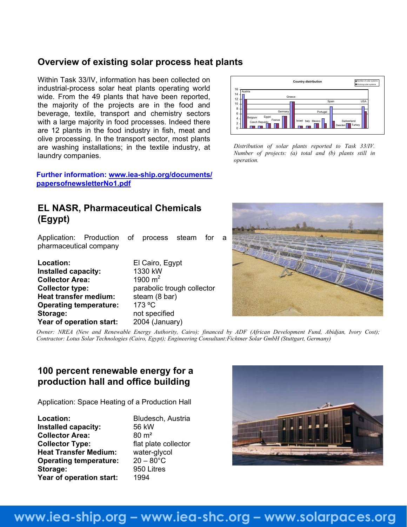#### **Overview of existing solar process heat plants**

Within Task 33/IV, information has been collected on industrial-process solar heat plants operating world wide. From the 49 plants that have been reported, the majority of the projects are in the food and beverage, textile, transport and chemistry sectors with a large majority in food processes. Indeed there are 12 plants in the food industry in fish, meat and olive processing. In the transport sector, most plants are washing installations; in the textile industry, at laundry companies.

#### **Further information: [www.iea-ship.org/documents/](http://www.iea-ship.org/documents/papersofnewsletterNo1.pdf) [papersofnewsletterNo1.pdf](http://www.iea-ship.org/documents/papersofnewsletterNo1.pdf)**

#### **EL NASR, Pharmaceutical Chemicals (Egypt)**

Application: Production of process steam for a pharmaceutical company

| Location:                     | El Cairo, Egypt            |
|-------------------------------|----------------------------|
| Installed capacity:           | 1330 kW                    |
| <b>Collector Area:</b>        | 1900 $m2$                  |
| <b>Collector type:</b>        | parabolic trough collector |
| <b>Heat transfer medium:</b>  | steam (8 bar)              |
| <b>Operating temperature:</b> | 173 °C                     |
| Storage:                      | not specified              |
| Year of operation start:      | 2004 (January)             |



*Distribution of solar plants reported to Task 33/IV. Number of projects: (a) total and (b) plants still in operation.*



*Owner: NREA (New and Renewable Energy Authority, Cairo); financed by ADF (African Development Fund, Abidjan, Ivory Cost); Contractor: Lotus Solar Technologies (Cairo, Egypt); Engineering Consultant:Fichtner Solar GmbH (Stuttgart, Germany)*

#### **100 percent renewable energy for a production hall and office building**

Application: Space Heating of a Production Hall

| Location:                     | Bludesch, Austria    |
|-------------------------------|----------------------|
| Installed capacity:           | 56 kW                |
| <b>Collector Area:</b>        | $80 \text{ m}^2$     |
| <b>Collector Type:</b>        | flat plate collector |
| <b>Heat Transfer Medium:</b>  | water-glycol         |
| <b>Operating temperature:</b> | $20 - 80^{\circ}$ C  |
| Storage:                      | 950 Litres           |
| Year of operation start:      | 1994                 |